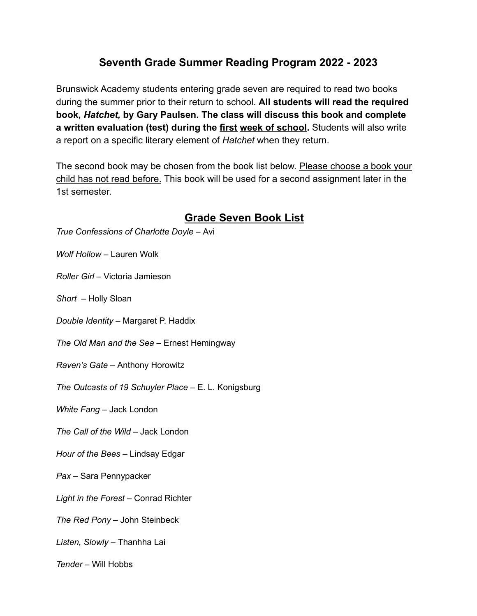## **Seventh Grade Summer Reading Program 2022 - 2023**

Brunswick Academy students entering grade seven are required to read two books during the summer prior to their return to school. **All students will read the required book,** *Hatchet,* **by Gary Paulsen. The class will discuss this book and complete a written evaluation (test) during the first week of school.** Students will also write a report on a specific literary element of *Hatchet* when they return.

The second book may be chosen from the book list below. Please choose a book your child has not read before. This book will be used for a second assignment later in the 1st semester.

## **Grade Seven Book List**

*True Confessions of Charlotte Doyle –* Avi

*Wolf Hollow –* Lauren Wolk

*Roller Girl –* Victoria Jamieson

*Short –* Holly Sloan

*Double Identity –* Margaret P. Haddix

*The Old Man and the Sea –* Ernest Hemingway

*Raven's Gate –* Anthony Horowitz

*The Outcasts of 19 Schuyler Place –* E. L. Konigsburg

*White Fang –* Jack London

*The Call of the Wild –* Jack London

*Hour of the Bees –* Lindsay Edgar

*Pax –* Sara Pennypacker

*Light in the Forest –* Conrad Richter

*The Red Pony –* John Steinbeck

*Listen, Slowly –* Thanhha Lai

*Tender –* Will Hobbs